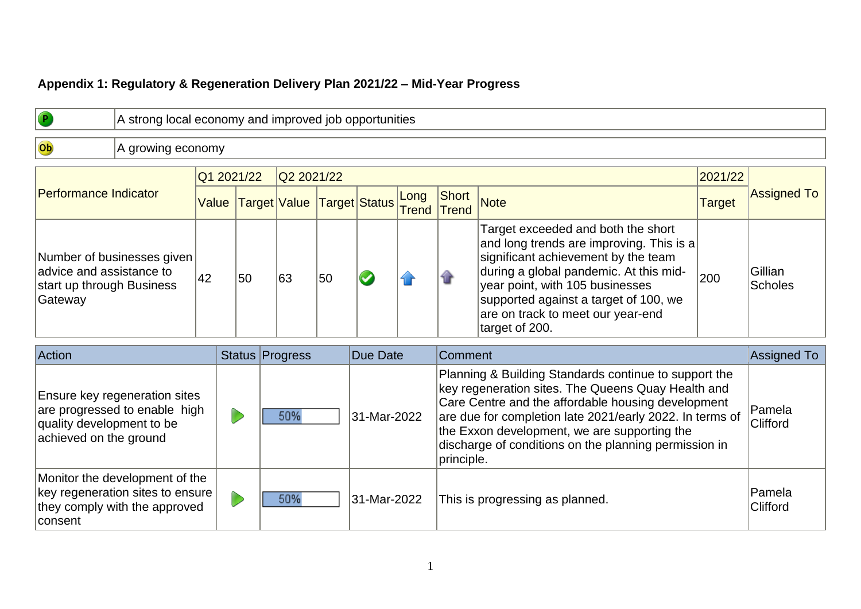## **Appendix 1: Regulatory & Regeneration Delivery Plan 2021/22 – Mid-Year Progress**

|                                                                                                                       |                   | A strong local economy and improved job opportunities |                     |  |                            |    |                              |              |                                 |                                                                                                                                                                                                                                                                                                                                        |                          |                           |  |
|-----------------------------------------------------------------------------------------------------------------------|-------------------|-------------------------------------------------------|---------------------|--|----------------------------|----|------------------------------|--------------|---------------------------------|----------------------------------------------------------------------------------------------------------------------------------------------------------------------------------------------------------------------------------------------------------------------------------------------------------------------------------------|--------------------------|---------------------------|--|
| Ob                                                                                                                    | A growing economy |                                                       |                     |  |                            |    |                              |              |                                 |                                                                                                                                                                                                                                                                                                                                        |                          |                           |  |
| <b>Performance Indicator</b>                                                                                          |                   |                                                       | Q1 2021/22<br>Value |  | Q2 2021/22<br>Target Value |    | Long<br><b>Target Status</b> |              | Short                           | <b>Note</b>                                                                                                                                                                                                                                                                                                                            | 2021/22<br><b>Target</b> | <b>Assigned To</b>        |  |
| Number of businesses given<br>advice and assistance to<br>start up through Business<br>Gateway                        |                   | 42                                                    | 50                  |  | 63                         | 50 |                              | <b>Trend</b> | Trend                           | Target exceeded and both the short<br>and long trends are improving. This is a<br>significant achievement by the team<br>during a global pandemic. At this mid-<br>year point, with 105 businesses<br>supported against a target of 100, we<br>are on track to meet our year-end<br>target of 200.                                     | 200                      | Gillian<br><b>Scholes</b> |  |
| Action                                                                                                                |                   |                                                       |                     |  | <b>Status Progress</b>     |    | Due Date                     |              | Comment                         |                                                                                                                                                                                                                                                                                                                                        |                          | Assigned To               |  |
| Ensure key regeneration sites<br>are progressed to enable high<br>quality development to be<br>achieved on the ground |                   |                                                       |                     |  | 50%                        |    | 31-Mar-2022                  |              | principle.                      | Planning & Building Standards continue to support the<br>key regeneration sites. The Queens Quay Health and<br>Care Centre and the affordable housing development<br>are due for completion late 2021/early 2022. In terms of<br>the Exxon development, we are supporting the<br>discharge of conditions on the planning permission in |                          | Pamela<br>Clifford        |  |
| Monitor the development of the<br>key regeneration sites to ensure<br>they comply with the approved<br>consent        |                   |                                                       |                     |  | 50%                        |    | 31-Mar-2022                  |              | This is progressing as planned. |                                                                                                                                                                                                                                                                                                                                        |                          | Pamela<br>Clifford        |  |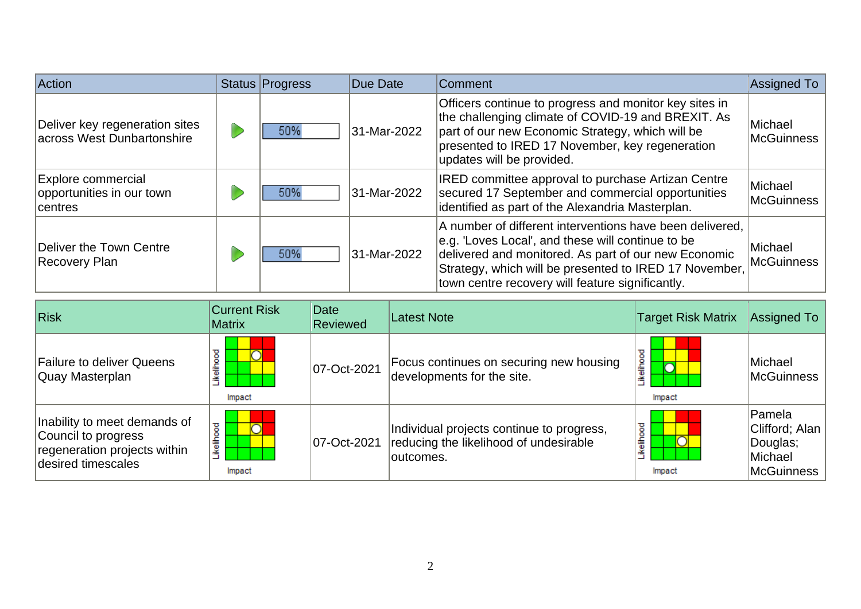| Action                                                            | Status Progress | Due Date    | Comment                                                                                                                                                                                                                                                                             | Assigned To                  |
|-------------------------------------------------------------------|-----------------|-------------|-------------------------------------------------------------------------------------------------------------------------------------------------------------------------------------------------------------------------------------------------------------------------------------|------------------------------|
| Deliver key regeneration sites<br>across West Dunbartonshire      | 50%             | 31-Mar-2022 | Officers continue to progress and monitor key sites in<br>the challenging climate of COVID-19 and BREXIT. As<br>part of our new Economic Strategy, which will be<br>presented to IRED 17 November, key regeneration<br>updates will be provided.                                    | Michael<br>McGuinness        |
| <b>Explore commercial</b><br>opportunities in our town<br>centres | 50%             | 31-Mar-2022 | <b>IRED committee approval to purchase Artizan Centre</b><br>secured 17 September and commercial opportunities<br>identified as part of the Alexandria Masterplan.                                                                                                                  | Michael<br><b>McGuinness</b> |
| Deliver the Town Centre<br>Recovery Plan                          | 50%             | 31-Mar-2022 | A number of different interventions have been delivered,<br>e.g. 'Loves Local', and these will continue to be<br>delivered and monitored. As part of our new Economic<br>Strategy, which will be presented to IRED 17 November,<br>town centre recovery will feature significantly. | Michael<br>McGuinness        |

| Risk                                                                                                      | <b>Current Risk</b><br><b>Matrix</b> | Date<br><b>Reviewed</b> | <b>Latest Note</b>                                                                                | <b>Target Risk Matrix</b> | Assigned To                                                     |
|-----------------------------------------------------------------------------------------------------------|--------------------------------------|-------------------------|---------------------------------------------------------------------------------------------------|---------------------------|-----------------------------------------------------------------|
| <b>Failure to deliver Queens</b><br>Quay Masterplan                                                       | ikelihood<br>Impact                  | 07-Oct-2021             | Focus continues on securing new housing<br>developments for the site.                             | ikelihoo<br>◠<br>Impact   | Michael<br>McGuinness                                           |
| Inability to meet demands of<br>Council to progress<br>regeneration projects within<br>desired timescales | kelihood<br>Impact                   | 07-Oct-2021             | Individual projects continue to progress,<br>reducing the likelihood of undesirable<br>loutcomes. | ikelihood<br>Impact       | Pamela<br>Clifford; Alan  <br>Douglas;<br>Michael<br>McGuinness |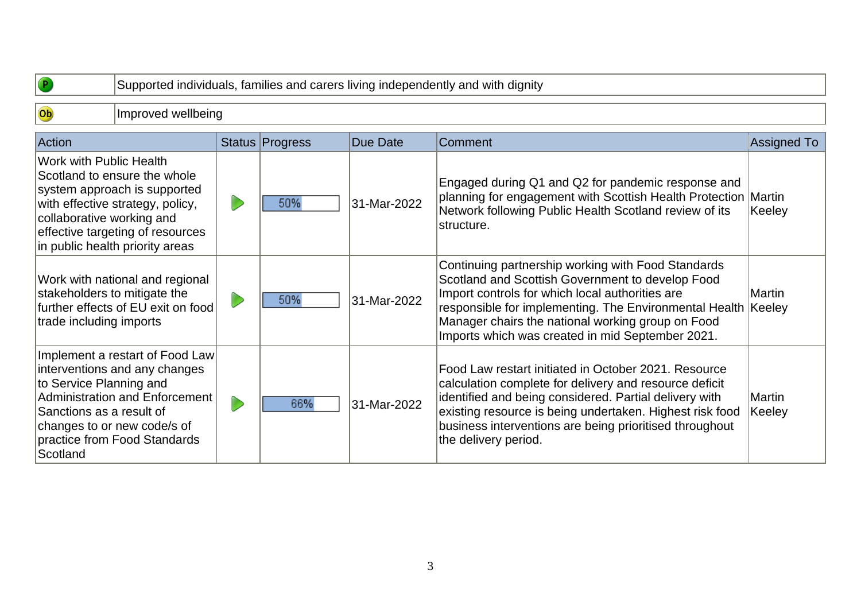| $\bullet$                                                                                                                        | Supported individuals, families and carers living independently and with dignity                                                                                        |  |                        |             |                                                                                                                                                                                                                                                                                                                              |                  |  |  |  |  |  |
|----------------------------------------------------------------------------------------------------------------------------------|-------------------------------------------------------------------------------------------------------------------------------------------------------------------------|--|------------------------|-------------|------------------------------------------------------------------------------------------------------------------------------------------------------------------------------------------------------------------------------------------------------------------------------------------------------------------------------|------------------|--|--|--|--|--|
| Ob                                                                                                                               | Improved wellbeing                                                                                                                                                      |  |                        |             |                                                                                                                                                                                                                                                                                                                              |                  |  |  |  |  |  |
| Action                                                                                                                           |                                                                                                                                                                         |  | <b>Status Progress</b> | Due Date    | Comment                                                                                                                                                                                                                                                                                                                      | Assigned To      |  |  |  |  |  |
| Work with Public Health<br>collaborative working and                                                                             | Scotland to ensure the whole<br>system approach is supported<br>with effective strategy, policy,<br>effective targeting of resources<br>in public health priority areas |  | 50%                    | 31-Mar-2022 | Engaged during Q1 and Q2 for pandemic response and<br>planning for engagement with Scottish Health Protection Martin<br>Network following Public Health Scotland review of its<br>structure.                                                                                                                                 | Keeley           |  |  |  |  |  |
| Work with national and regional<br>stakeholders to mitigate the<br>further effects of EU exit on food<br>trade including imports |                                                                                                                                                                         |  | 50%                    | 31-Mar-2022 | Continuing partnership working with Food Standards<br>Scotland and Scottish Government to develop Food<br>Import controls for which local authorities are<br>responsible for implementing. The Environmental Health<br>Manager chairs the national working group on Food<br>Imports which was created in mid September 2021. | Martin<br>Keeley |  |  |  |  |  |
| to Service Planning and<br>Sanctions as a result of<br>Scotland                                                                  | Implement a restart of Food Law<br>interventions and any changes<br>Administration and Enforcement<br>changes to or new code/s of<br>practice from Food Standards       |  | 66%                    | 31-Mar-2022 | Food Law restart initiated in October 2021. Resource<br>calculation complete for delivery and resource deficit<br>identified and being considered. Partial delivery with<br>existing resource is being undertaken. Highest risk food<br>business interventions are being prioritised throughout<br>the delivery period.      | Martin<br>Keeley |  |  |  |  |  |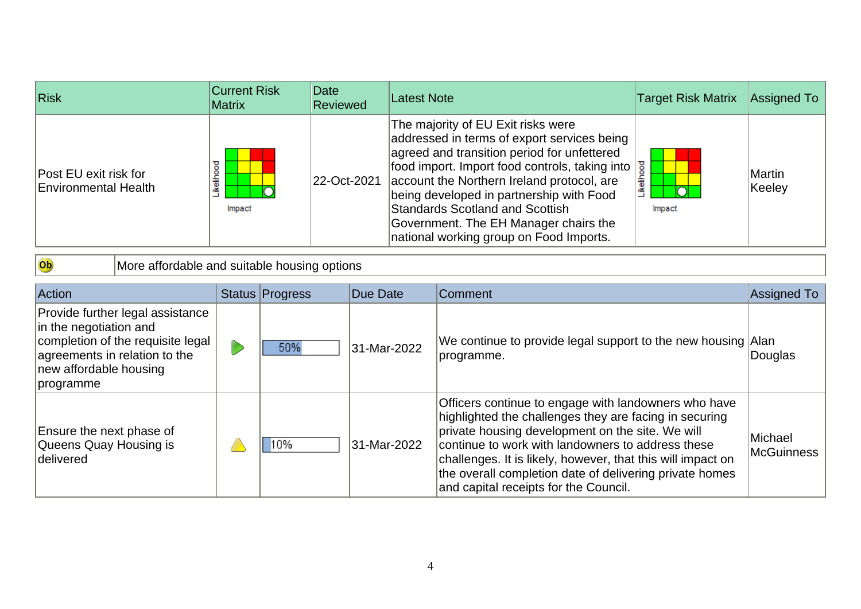| <b>Risk</b>                                   | <b>Current Risk</b><br>Matrix | Date<br><b>Reviewed</b> | <b>Latest Note</b>                                                                                                                                                                                                                                                                                                                                                                                         | <b>Target Risk Matrix</b> | <b>Assigned To</b> |
|-----------------------------------------------|-------------------------------|-------------------------|------------------------------------------------------------------------------------------------------------------------------------------------------------------------------------------------------------------------------------------------------------------------------------------------------------------------------------------------------------------------------------------------------------|---------------------------|--------------------|
| Post EU exit risk for<br>Environmental Health | ष्ठ<br>흩<br>Impact            | 22-Oct-2021             | The majority of EU Exit risks were<br>addressed in terms of export services being<br>agreed and transition period for unfettered<br>food import. Import food controls, taking into<br>account the Northern Ireland protocol, are<br>being developed in partnership with Food<br><b>Standards Scotland and Scottish</b><br>Government. The EH Manager chairs the<br>national working group on Food Imports. | Likeliho<br>Impact        | Martin<br>Keeley   |

Ob More affordable and suitable housing options

| Action                                                                                                                                                                  | Status Progress | Due Date    | Comment                                                                                                                                                                                                                                                                                                                                                                                    | Assigned To                  |
|-------------------------------------------------------------------------------------------------------------------------------------------------------------------------|-----------------|-------------|--------------------------------------------------------------------------------------------------------------------------------------------------------------------------------------------------------------------------------------------------------------------------------------------------------------------------------------------------------------------------------------------|------------------------------|
| Provide further legal assistance<br>in the negotiation and<br>completion of the requisite legal<br>agreements in relation to the<br>new affordable housing<br>programme | 50%             | 31-Mar-2022 | We continue to provide legal support to the new housing Alan<br>programme.                                                                                                                                                                                                                                                                                                                 | Douglas                      |
| Ensure the next phase of<br>Queens Quay Housing is<br>delivered                                                                                                         | 10%             | 31-Mar-2022 | Officers continue to engage with landowners who have<br>highlighted the challenges they are facing in securing<br>private housing development on the site. We will<br>continue to work with landowners to address these<br>challenges. It is likely, however, that this will impact on<br>the overall completion date of delivering private homes<br>and capital receipts for the Council. | Michael<br><b>McGuinness</b> |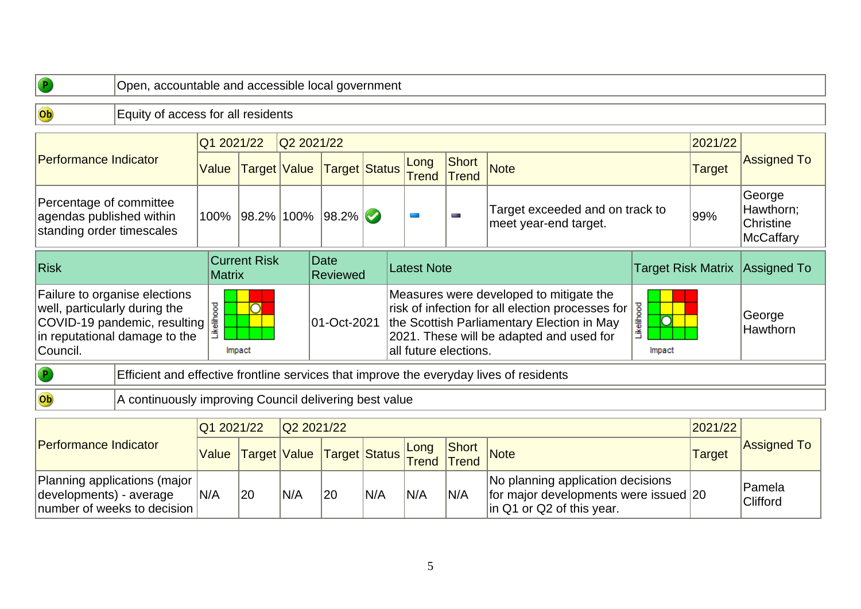| $\bullet$                                                                        |                                                                                                | Open, accountable and accessible local government |              |  |                       |                           |                       |                       |                                                                                                                                                                                       |                                |               |                                                      |  |  |
|----------------------------------------------------------------------------------|------------------------------------------------------------------------------------------------|---------------------------------------------------|--------------|--|-----------------------|---------------------------|-----------------------|-----------------------|---------------------------------------------------------------------------------------------------------------------------------------------------------------------------------------|--------------------------------|---------------|------------------------------------------------------|--|--|
| Ob                                                                               | Equity of access for all residents                                                             |                                                   |              |  |                       |                           |                       |                       |                                                                                                                                                                                       |                                |               |                                                      |  |  |
|                                                                                  |                                                                                                | Q1 2021/22                                        |              |  | Q2 2021/22<br>2021/22 |                           |                       |                       |                                                                                                                                                                                       |                                |               |                                                      |  |  |
| <b>Performance Indicator</b>                                                     |                                                                                                | Value                                             | Target Value |  | <b>Target Status</b>  |                           | Long<br><b>Trend</b>  | Short<br><b>Trend</b> | <b>Note</b>                                                                                                                                                                           |                                | <b>Target</b> | <b>Assigned To</b>                                   |  |  |
| Percentage of committee<br>agendas published within<br>standing order timescales |                                                                                                |                                                   |              |  | 100% 98.2% 100% 98.2% | $\bullet$                 |                       | for a                 | Target exceeded and on track to<br>meet year-end target.                                                                                                                              |                                | 99%           | George<br>Hawthorn;<br>Christine<br><b>McCaffary</b> |  |  |
| <b>Risk</b>                                                                      | <b>Current Risk</b>                                                                            | Date<br><b>Latest Note</b><br><b>Reviewed</b>     |              |  |                       | <b>Target Risk Matrix</b> |                       | Assigned To           |                                                                                                                                                                                       |                                |               |                                                      |  |  |
| well, particularly during the<br>Council.                                        | Failure to organise elections<br>COVID-19 pandemic, resulting<br>in reputational damage to the | ikelihood                                         | Impact       |  | 01-Oct-2021           |                           | all future elections. |                       | Measures were developed to mitigate the<br>risk of infection for all election processes for<br>the Scottish Parliamentary Election in May<br>2021. These will be adapted and used for | <b>kelihood</b><br>n<br>Impact |               | George<br>Hawthorn                                   |  |  |
| $\bullet$                                                                        |                                                                                                |                                                   |              |  |                       |                           |                       |                       | Efficient and effective frontline services that improve the everyday lives of residents                                                                                               |                                |               |                                                      |  |  |
| Ob                                                                               | A continuously improving Council delivering best value                                         |                                                   |              |  |                       |                           |                       |                       |                                                                                                                                                                                       |                                |               |                                                      |  |  |
|                                                                                  |                                                                                                | Q1 2021/22                                        |              |  | Q2 2021/22            |                           |                       |                       |                                                                                                                                                                                       |                                | 2021/22       |                                                      |  |  |
| <b>Performance Indicator</b>                                                     |                                                                                                |                                                   |              |  |                       |                           | ILona                 | Short                 |                                                                                                                                                                                       |                                |               | <b>Assigned To</b>                                   |  |  |

| <b>IPerformance Indicator</b>                                                            |     |    |     | Nalue Target Value Target Status Friend Trend Note |                  |     | Short |                                                                                                             | <b>Target</b> | <b>Assigned To</b>         |
|------------------------------------------------------------------------------------------|-----|----|-----|----------------------------------------------------|------------------|-----|-------|-------------------------------------------------------------------------------------------------------------|---------------|----------------------------|
| Planning applications (major  <br>developments) - average<br>number of weeks to decision | N/A | 20 | N/A | 20                                                 | <sup>I</sup> N/A | N/A | N/A   | INo planning application decisions<br>for major developments were issued 20<br>$\ln Q1$ or Q2 of this year. |               | 'Pamela<br><b>Clifford</b> |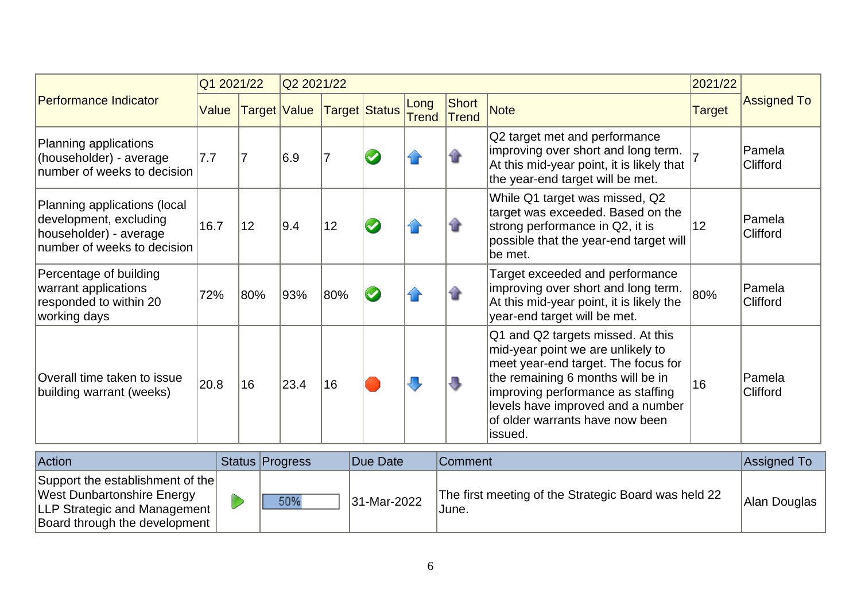|                                                                                                                 | Q1 2021/22 |              | Q2 2021/22 |                |  |                      |                       |                                                                                                                                                                                                                                                                             |               | 2021/22            |  |
|-----------------------------------------------------------------------------------------------------------------|------------|--------------|------------|----------------|--|----------------------|-----------------------|-----------------------------------------------------------------------------------------------------------------------------------------------------------------------------------------------------------------------------------------------------------------------------|---------------|--------------------|--|
| Performance Indicator                                                                                           | Value      | Target Value |            | Target Status  |  | Long<br><b>Trend</b> | Short<br><b>Trend</b> | <b>Note</b>                                                                                                                                                                                                                                                                 | <b>Target</b> | <b>Assigned To</b> |  |
| Planning applications<br>(householder) - average<br>number of weeks to decision                                 | 7.7        | 17           | 6.9        | $\overline{7}$ |  |                      |                       | Q2 target met and performance<br>improving over short and long term.<br>At this mid-year point, it is likely that<br>the year-end target will be met.                                                                                                                       |               | Pamela<br>Clifford |  |
| Planning applications (local<br>development, excluding<br>householder) - average<br>number of weeks to decision | 16.7       | 12           | 9.4        | 12             |  |                      |                       | While Q1 target was missed, Q2<br>target was exceeded. Based on the<br>strong performance in Q2, it is<br>possible that the year-end target will<br>be met.                                                                                                                 | 12            | Pamela<br>Clifford |  |
| Percentage of building<br>warrant applications<br>responded to within 20<br>working days                        | 72%        | 80%          | 93%        | 80%            |  |                      |                       | Target exceeded and performance<br>improving over short and long term.<br>At this mid-year point, it is likely the<br>year-end target will be met.                                                                                                                          | 80%           | Pamela<br>Clifford |  |
| Overall time taken to issue<br>building warrant (weeks)                                                         | 20.8       | 16           | 23.4       | 16             |  |                      | J                     | Q1 and Q2 targets missed. At this<br>mid-year point we are unlikely to<br>meet year-end target. The focus for<br>the remaining 6 months will be in<br>improving performance as staffing<br>levels have improved and a number<br>of older warrants have now been<br>lissued. | 16            | Pamela<br>Clifford |  |

| Action                                                                                                                                        | <b>Status Progress</b> | Due Date    | <b>Comment</b>                                                | Assigned To  |
|-----------------------------------------------------------------------------------------------------------------------------------------------|------------------------|-------------|---------------------------------------------------------------|--------------|
| Support the establishment of the<br><b>West Dunbartonshire Energy</b><br><b>LLP Strategic and Management</b><br>Board through the development | 50%                    | 31-Mar-2022 | The first meeting of the Strategic Board was held 22<br>June. | Alan Douglas |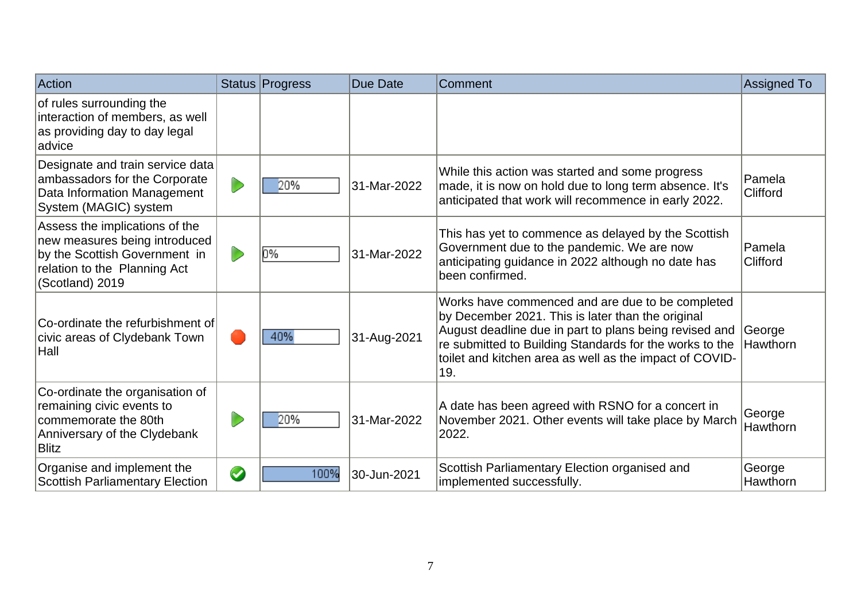| Action                                                                                                                                              |           | Status Progress | Due Date    | Comment                                                                                                                                                                                                                                                                                      | <b>Assigned To</b> |
|-----------------------------------------------------------------------------------------------------------------------------------------------------|-----------|-----------------|-------------|----------------------------------------------------------------------------------------------------------------------------------------------------------------------------------------------------------------------------------------------------------------------------------------------|--------------------|
| of rules surrounding the<br>interaction of members, as well<br>as providing day to day legal<br>ladvice                                             |           |                 |             |                                                                                                                                                                                                                                                                                              |                    |
| Designate and train service data<br>ambassadors for the Corporate<br>Data Information Management<br>System (MAGIC) system                           |           | 20%             | 31-Mar-2022 | While this action was started and some progress<br>made, it is now on hold due to long term absence. It's<br>anticipated that work will recommence in early 2022.                                                                                                                            | Pamela<br>Clifford |
| Assess the implications of the<br>new measures being introduced<br>by the Scottish Government in<br>relation to the Planning Act<br>(Scotland) 2019 |           | 0%              | 31-Mar-2022 | This has yet to commence as delayed by the Scottish<br>Government due to the pandemic. We are now<br>anticipating guidance in 2022 although no date has<br>been confirmed.                                                                                                                   | Pamela<br>Clifford |
| Co-ordinate the refurbishment of<br>civic areas of Clydebank Town<br>$ $ Hall                                                                       |           | 40%             | 31-Aug-2021 | Works have commenced and are due to be completed<br>by December 2021. This is later than the original<br>August deadline due in part to plans being revised and<br>re submitted to Building Standards for the works to the<br>toilet and kitchen area as well as the impact of COVID-<br>19. | George<br>Hawthorn |
| Co-ordinate the organisation of<br>remaining civic events to<br>commemorate the 80th<br>Anniversary of the Clydebank<br><b>Blitz</b>                |           | 20%             | 31-Mar-2022 | A date has been agreed with RSNO for a concert in<br>November 2021. Other events will take place by March<br>2022.                                                                                                                                                                           | George<br>Hawthorn |
| Organise and implement the<br><b>Scottish Parliamentary Election</b>                                                                                | $\bullet$ | 100%            | 30-Jun-2021 | Scottish Parliamentary Election organised and<br>implemented successfully.                                                                                                                                                                                                                   | George<br>Hawthorn |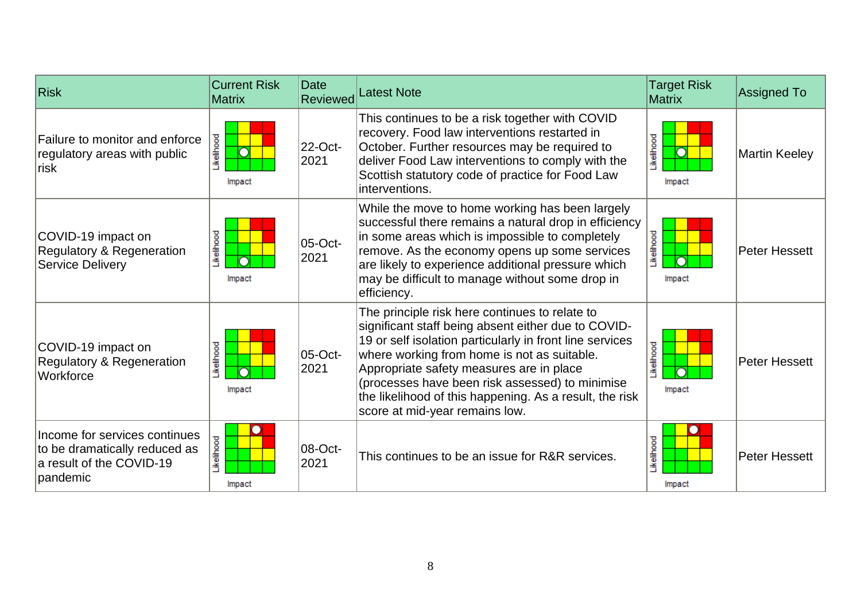| <b>Risk</b>                                                                                            | <b>Current Risk</b><br><b>Matrix</b> | <b>Date</b><br>Reviewed | <b>Latest Note</b>                                                                                                                                                                                                                                                                                                                                                                                           | <b>Target Risk</b><br><b>Matrix</b> | <b>Assigned To</b>   |
|--------------------------------------------------------------------------------------------------------|--------------------------------------|-------------------------|--------------------------------------------------------------------------------------------------------------------------------------------------------------------------------------------------------------------------------------------------------------------------------------------------------------------------------------------------------------------------------------------------------------|-------------------------------------|----------------------|
| Failure to monitor and enforce<br>regulatory areas with public<br>∣risk                                | Likelihood<br>O<br>Impact            | 22-Oct-<br>2021         | This continues to be a risk together with COVID<br>recovery. Food law interventions restarted in<br>October. Further resources may be required to<br>deliver Food Law interventions to comply with the<br>Scottish statutory code of practice for Food Law<br>interventions.                                                                                                                                 | <b>kelihood</b><br>Impact           | <b>Martin Keeley</b> |
| COVID-19 impact on<br>Regulatory & Regeneration<br><b>Service Delivery</b>                             | Likelihood<br>Impact                 | 05-Oct-<br>2021         | While the move to home working has been largely<br>successful there remains a natural drop in efficiency<br>in some areas which is impossible to completely<br>remove. As the economy opens up some services<br>are likely to experience additional pressure which<br>may be difficult to manage without some drop in<br>efficiency.                                                                         | Likelihood<br>Impact                | <b>Peter Hessett</b> |
| COVID-19 impact on<br><b>Regulatory &amp; Regeneration</b><br>Workforce                                | Likelihood<br>∩<br>Impact            | 05-Oct-<br>2021         | The principle risk here continues to relate to<br>significant staff being absent either due to COVID-<br>19 or self isolation particularly in front line services<br>where working from home is not as suitable.<br>Appropriate safety measures are in place<br>(processes have been risk assessed) to minimise<br>the likelihood of this happening. As a result, the risk<br>score at mid-year remains low. | <b>kellhood</b><br>Impact           | Peter Hessett        |
| Income for services continues<br>to be dramatically reduced as<br>a result of the COVID-19<br>pandemic | Likelihood<br>Impact                 | 08-Oct-<br>2021         | This continues to be an issue for R&R services.                                                                                                                                                                                                                                                                                                                                                              | Likelihood<br>Impact                | Peter Hessett        |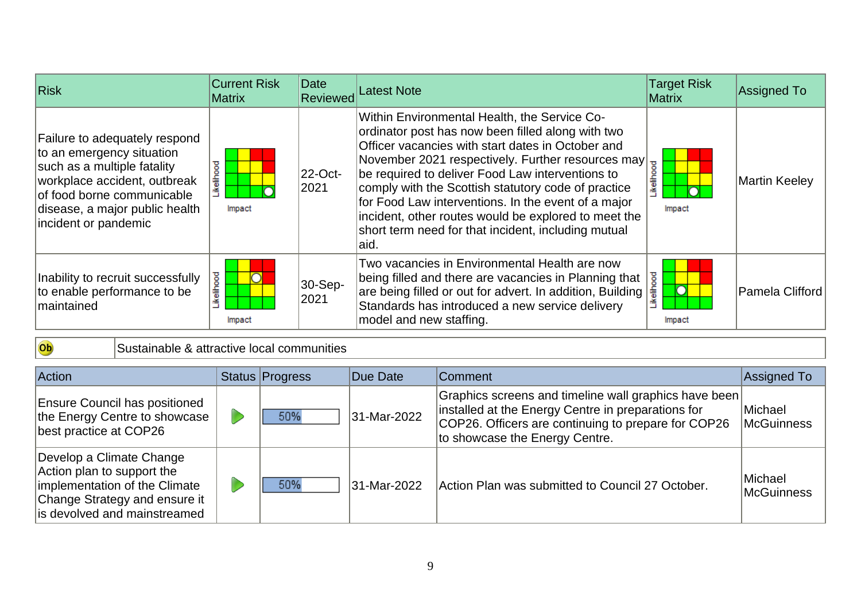| <b>Risk</b>                                                                                                                                                                                                       | <b>Current Risk</b><br><b>Matrix</b> | Date<br>Reviewed | Latest Note                                                                                                                                                                                                                                                                                                                                                                                                                                   | <b>Target Risk</b><br><b>Matrix</b> | <b>Assigned To</b>     |
|-------------------------------------------------------------------------------------------------------------------------------------------------------------------------------------------------------------------|--------------------------------------|------------------|-----------------------------------------------------------------------------------------------------------------------------------------------------------------------------------------------------------------------------------------------------------------------------------------------------------------------------------------------------------------------------------------------------------------------------------------------|-------------------------------------|------------------------|
| Failure to adequately respond<br>to an emergency situation<br>such as a multiple fatality<br>workplace accident, outbreak<br>of food borne communicable<br>disease, a major public health<br>incident or pandemic | ikelihood<br>Impact                  | 22-Oct-<br>2021  | Within Environmental Health, the Service Co-<br>ordinator post has now been filled along with two<br>where yacancies with start dates in October 2014<br>November 2021 respectively. Further resources may<br>Fraction of the deliver Food Law interventions to<br>for Food Law interventions. In the event of a major<br>incident, other routes would be explored to meet the<br>short term need for that incident, including mutual<br>aid. | Impact                              | Martin Keeley          |
| Inability to recruit successfully<br>to enable performance to be<br>Imaintained                                                                                                                                   | <b>ikelihood</b><br>Impact           | 30-Sep-<br>2021  | Two vacancies in Environmental Health are now<br>being filled and there are vacancies in Planning that $\frac{3}{8}$ are being filled or out for advert. In addition, Building $\frac{2}{8}$<br>Standards has introduced a new service delivery<br>model and new staffing.                                                                                                                                                                    | $\overline{\text{O}}$<br>Impact     | <b>Pamela Clifford</b> |

## Ob

Sustainable & attractive local communities

| Action                                                                                                                                                   | Status Progress | Due Date    | Comment                                                                                                                                                                                              | Assigned To                  |
|----------------------------------------------------------------------------------------------------------------------------------------------------------|-----------------|-------------|------------------------------------------------------------------------------------------------------------------------------------------------------------------------------------------------------|------------------------------|
| <b>Ensure Council has positioned</b><br>the Energy Centre to showcase<br>best practice at COP26                                                          | 50%             | 31-Mar-2022 | Graphics screens and timeline wall graphics have been<br>installed at the Energy Centre in preparations for<br>COP26. Officers are continuing to prepare for COP26<br>to showcase the Energy Centre. | <b>Michael</b><br>McGuinness |
| Develop a Climate Change<br>Action plan to support the<br>implementation of the Climate<br>Change Strategy and ensure it<br>is devolved and mainstreamed | 50%             | 31-Mar-2022 | Action Plan was submitted to Council 27 October.                                                                                                                                                     | Michael<br><b>McGuinness</b> |